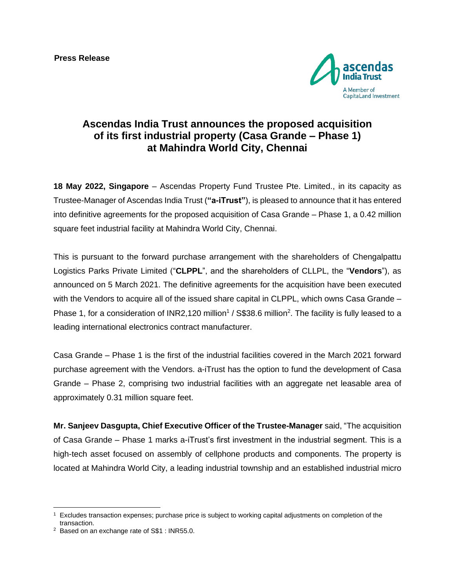

# **Ascendas India Trust announces the proposed acquisition of its first industrial property (Casa Grande – Phase 1) at Mahindra World City, Chennai**

**18 May 2022, Singapore** – Ascendas Property Fund Trustee Pte. Limited., in its capacity as Trustee-Manager of Ascendas India Trust (**"a-iTrust"**), is pleased to announce that it has entered into definitive agreements for the proposed acquisition of Casa Grande – Phase 1, a 0.42 million square feet industrial facility at Mahindra World City, Chennai.

This is pursuant to the forward purchase arrangement with the shareholders of Chengalpattu Logistics Parks Private Limited ("**CLPPL**", and the shareholders of CLLPL, the "**Vendors**"), as announced on 5 March 2021. The definitive agreements for the acquisition have been executed with the Vendors to acquire all of the issued share capital in CLPPL, which owns Casa Grande – Phase 1, for a consideration of INR2,120 million<sup>1</sup> / S\$38.6 million<sup>2</sup>. The facility is fully leased to a leading international electronics contract manufacturer.

Casa Grande – Phase 1 is the first of the industrial facilities covered in the March 2021 forward purchase agreement with the Vendors. a-iTrust has the option to fund the development of Casa Grande – Phase 2, comprising two industrial facilities with an aggregate net leasable area of approximately 0.31 million square feet.

**Mr. Sanjeev Dasgupta, Chief Executive Officer of the Trustee-Manager** said, "The acquisition of Casa Grande – Phase 1 marks a-iTrust's first investment in the industrial segment. This is a high-tech asset focused on assembly of cellphone products and components. The property is located at Mahindra World City, a leading industrial township and an established industrial micro

<sup>&</sup>lt;sup>1</sup> Excludes transaction expenses; purchase price is subject to working capital adjustments on completion of the transaction.

<sup>2</sup> Based on an exchange rate of S\$1 : INR55.0.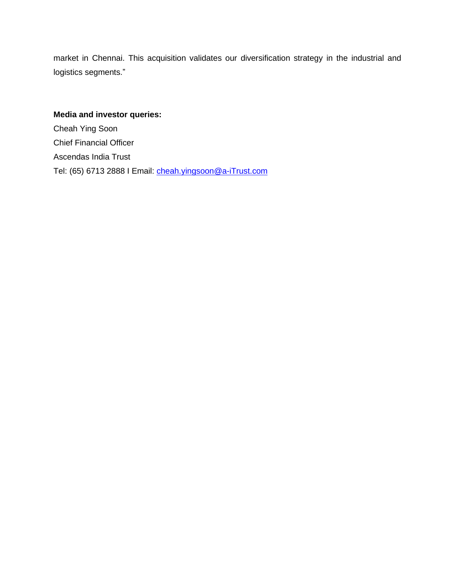market in Chennai. This acquisition validates our diversification strategy in the industrial and logistics segments."

# **Media and investor queries:** Cheah Ying Soon Chief Financial Officer Ascendas India Trust Tel: (65) 6713 2888 I Email: [cheah.yingsoon@a-iTrust.com](mailto:cheah.yingsoon@a-iTrust.com)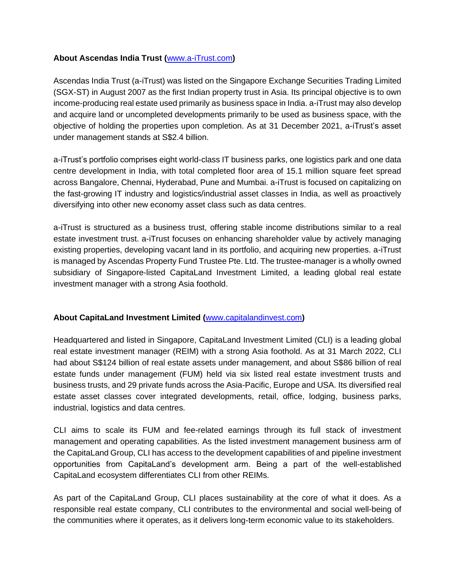## **About Ascendas India Trust (**[www.a-iTrust.com](http://www.a-itrust.com/)**)**

Ascendas India Trust (a-iTrust) was listed on the Singapore Exchange Securities Trading Limited (SGX-ST) in August 2007 as the first Indian property trust in Asia. Its principal objective is to own income-producing real estate used primarily as business space in India. a-iTrust may also develop and acquire land or uncompleted developments primarily to be used as business space, with the objective of holding the properties upon completion. As at 31 December 2021, a-iTrust's asset under management stands at S\$2.4 billion.

a-iTrust's portfolio comprises eight world-class IT business parks, one logistics park and one data centre development in India, with total completed floor area of 15.1 million square feet spread across Bangalore, Chennai, Hyderabad, Pune and Mumbai. a-iTrust is focused on capitalizing on the fast-growing IT industry and logistics/industrial asset classes in India, as well as proactively diversifying into other new economy asset class such as data centres.

a-iTrust is structured as a business trust, offering stable income distributions similar to a real estate investment trust. a-iTrust focuses on enhancing shareholder value by actively managing existing properties, developing vacant land in its portfolio, and acquiring new properties. a-iTrust is managed by Ascendas Property Fund Trustee Pte. Ltd. The trustee-manager is a wholly owned subsidiary of Singapore-listed CapitaLand Investment Limited, a leading global real estate investment manager with a strong Asia foothold.

### **About CapitaLand Investment Limited (**[www.capitalandinvest.com](http://www.capitalandinvest.com/)**)**

Headquartered and listed in Singapore, CapitaLand Investment Limited (CLI) is a leading global real estate investment manager (REIM) with a strong Asia foothold. As at 31 March 2022, CLI had about S\$124 billion of real estate assets under management, and about S\$86 billion of real estate funds under management (FUM) held via six listed real estate investment trusts and business trusts, and 29 private funds across the Asia-Pacific, Europe and USA. Its diversified real estate asset classes cover integrated developments, retail, office, lodging, business parks, industrial, logistics and data centres.

CLI aims to scale its FUM and fee-related earnings through its full stack of investment management and operating capabilities. As the listed investment management business arm of the CapitaLand Group, CLI has access to the development capabilities of and pipeline investment opportunities from CapitaLand's development arm. Being a part of the well-established CapitaLand ecosystem differentiates CLI from other REIMs.

As part of the CapitaLand Group, CLI places sustainability at the core of what it does. As a responsible real estate company, CLI contributes to the environmental and social well-being of the communities where it operates, as it delivers long-term economic value to its stakeholders.